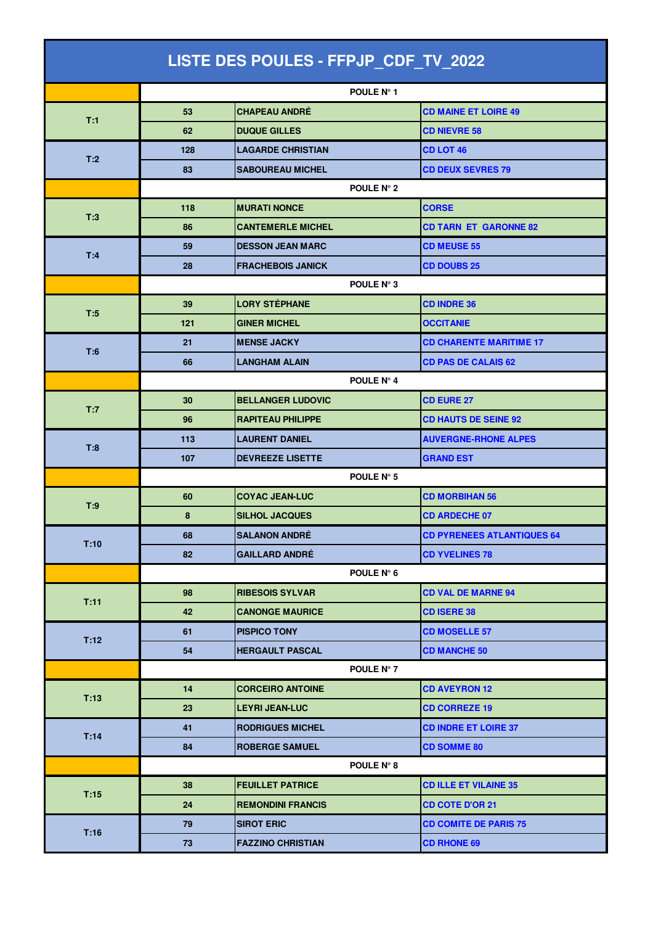| LISTE DES POULES - FFPJP_CDF_TV_2022 |            |                          |                                   |  |
|--------------------------------------|------------|--------------------------|-----------------------------------|--|
|                                      |            | POULE Nº 1               |                                   |  |
|                                      | 53         | <b>CHAPEAU ANDRÉ</b>     | <b>CD MAINE ET LOIRE 49</b>       |  |
| T:1                                  | 62         | <b>DUQUE GILLES</b>      | <b>CD NIEVRE 58</b>               |  |
|                                      | 128        | <b>LAGARDE CHRISTIAN</b> | <b>CD LOT 46</b>                  |  |
| T:2                                  | 83         | <b>SABOUREAU MICHEL</b>  | <b>CD DEUX SEVRES 79</b>          |  |
|                                      |            | POULE N° 2               |                                   |  |
|                                      | 118        | <b>MURATI NONCE</b>      | <b>CORSE</b>                      |  |
| T:3                                  | 86         | <b>CANTEMERLE MICHEL</b> | <b>CD TARN ET GARONNE 82</b>      |  |
| T:4                                  | 59         | <b>DESSON JEAN MARC</b>  | <b>CD MEUSE 55</b>                |  |
|                                      | 28         | <b>FRACHEBOIS JANICK</b> | <b>CD DOUBS 25</b>                |  |
|                                      | POULE N° 3 |                          |                                   |  |
| T:5                                  | 39         | <b>LORY STÉPHANE</b>     | <b>CD INDRE 36</b>                |  |
|                                      | 121        | <b>GINER MICHEL</b>      | <b>OCCITANIE</b>                  |  |
| T:6                                  | 21         | <b>MENSE JACKY</b>       | <b>CD CHARENTE MARITIME 17</b>    |  |
|                                      | 66         | <b>LANGHAM ALAIN</b>     | <b>CD PAS DE CALAIS 62</b>        |  |
|                                      |            | POULE N° 4               |                                   |  |
| T:7                                  | 30         | <b>BELLANGER LUDOVIC</b> | <b>CD EURE 27</b>                 |  |
|                                      | 96         | <b>RAPITEAU PHILIPPE</b> | <b>CD HAUTS DE SEINE 92</b>       |  |
| T:8                                  | 113        | <b>LAURENT DANIEL</b>    | <b>AUVERGNE-RHONE ALPES</b>       |  |
|                                      | 107        | <b>DEVREEZE LISETTE</b>  | <b>GRAND EST</b>                  |  |
|                                      |            | POULE N° 5               |                                   |  |
| T:9                                  | 60         | <b>COYAC JEAN-LUC</b>    | <b>CD MORBIHAN 56</b>             |  |
|                                      | 8          | <b>SILHOL JACQUES</b>    | <b>CD ARDECHE 07</b>              |  |
| T:10                                 | 68         | <b>SALANON ANDRÉ</b>     | <b>CD PYRENEES ATLANTIQUES 64</b> |  |
|                                      | 82         | <b>GAILLARD ANDRÉ</b>    | <b>CD YVELINES 78</b>             |  |
|                                      | POULE N° 6 |                          |                                   |  |
| T:11                                 | 98         | <b>RIBESOIS SYLVAR</b>   | <b>CD VAL DE MARNE 94</b>         |  |
|                                      | 42         | <b>CANONGE MAURICE</b>   | <b>CD ISERE 38</b>                |  |
| T:12                                 | 61         | <b>PISPICO TONY</b>      | <b>CD MOSELLE 57</b>              |  |
|                                      | 54         | <b>HERGAULT PASCAL</b>   | <b>CD MANCHE 50</b>               |  |
|                                      |            | POULE N° 7               |                                   |  |
| T:13                                 | 14         | <b>CORCEIRO ANTOINE</b>  | <b>CD AVEYRON 12</b>              |  |
|                                      | 23         | <b>LEYRI JEAN-LUC</b>    | <b>CD CORREZE 19</b>              |  |
| T:14                                 | 41         | <b>RODRIGUES MICHEL</b>  | <b>CD INDRE ET LOIRE 37</b>       |  |
|                                      | 84         | <b>ROBERGE SAMUEL</b>    | <b>CD SOMME 80</b>                |  |
|                                      |            | POULE N° 8               |                                   |  |
| T:15                                 | 38         | <b>FEUILLET PATRICE</b>  | <b>CD ILLE ET VILAINE 35</b>      |  |
|                                      | 24         | <b>REMONDINI FRANCIS</b> | <b>CD COTE D'OR 21</b>            |  |
| T:16                                 | 79         | <b>SIROT ERIC</b>        | <b>CD COMITE DE PARIS 75</b>      |  |
|                                      | 73         | <b>FAZZINO CHRISTIAN</b> | <b>CD RHONE 69</b>                |  |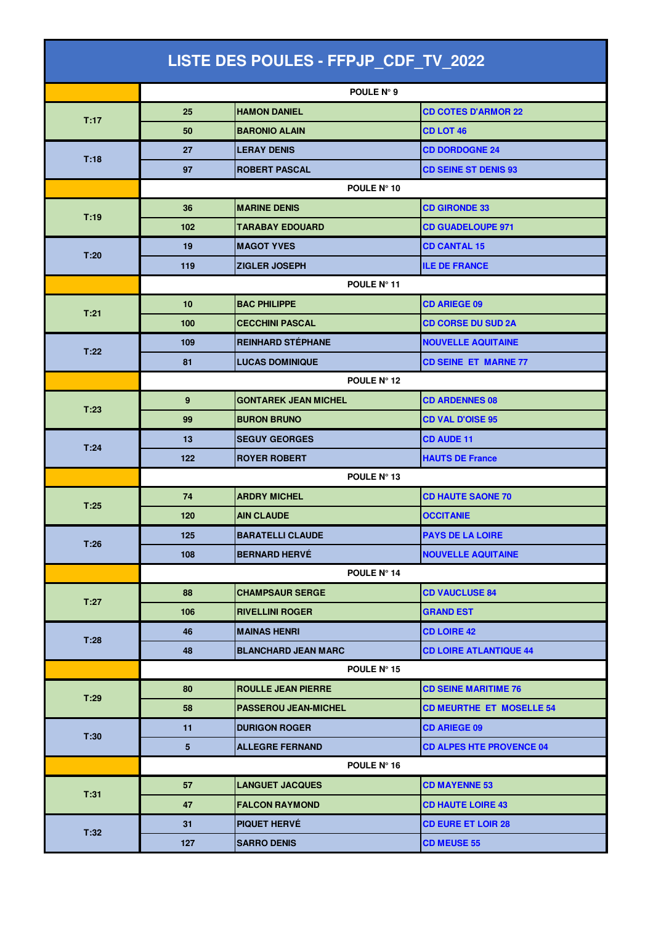| LISTE DES POULES - FFPJP_CDF_TV_2022 |             |                             |                                 |  |  |
|--------------------------------------|-------------|-----------------------------|---------------------------------|--|--|
|                                      |             | POULE N° 9                  |                                 |  |  |
|                                      | 25          | <b>HAMON DANIEL</b>         | <b>CD COTES D'ARMOR 22</b>      |  |  |
| T:17                                 | 50          | <b>BARONIO ALAIN</b>        | <b>CD LOT 46</b>                |  |  |
|                                      | 27          | <b>LERAY DENIS</b>          | <b>CD DORDOGNE 24</b>           |  |  |
| T:18                                 | 97          | <b>ROBERT PASCAL</b>        | <b>CD SEINE ST DENIS 93</b>     |  |  |
|                                      | POULE N° 10 |                             |                                 |  |  |
| T:19                                 | 36          | <b>MARINE DENIS</b>         | <b>CD GIRONDE 33</b>            |  |  |
|                                      | 102         | <b>TARABAY EDOUARD</b>      | <b>CD GUADELOUPE 971</b>        |  |  |
| T:20                                 | 19          | <b>MAGOT YVES</b>           | <b>CD CANTAL 15</b>             |  |  |
|                                      | 119         | <b>ZIGLER JOSEPH</b>        | <b>ILE DE FRANCE</b>            |  |  |
|                                      | POULE Nº 11 |                             |                                 |  |  |
| T:21                                 | 10          | <b>BAC PHILIPPE</b>         | <b>CD ARIEGE 09</b>             |  |  |
|                                      | 100         | <b>CECCHINI PASCAL</b>      | <b>CD CORSE DU SUD 2A</b>       |  |  |
|                                      | 109         | <b>REINHARD STÉPHANE</b>    | <b>NOUVELLE AQUITAINE</b>       |  |  |
| T:22                                 | 81          | <b>LUCAS DOMINIQUE</b>      | <b>CD SEINE ET MARNE 77</b>     |  |  |
|                                      |             | POULE N° 12                 |                                 |  |  |
| T:23                                 | 9           | <b>GONTAREK JEAN MICHEL</b> | <b>CD ARDENNES 08</b>           |  |  |
|                                      | 99          | <b>BURON BRUNO</b>          | <b>CD VAL D'OISE 95</b>         |  |  |
| T:24                                 | 13          | <b>SEGUY GEORGES</b>        | <b>CD AUDE 11</b>               |  |  |
|                                      | 122         | <b>ROYER ROBERT</b>         | <b>HAUTS DE France</b>          |  |  |
|                                      | POULE N° 13 |                             |                                 |  |  |
| T:25                                 | 74          | <b>ARDRY MICHEL</b>         | <b>CD HAUTE SAONE 70</b>        |  |  |
|                                      | 120         | <b>AIN CLAUDE</b>           | <b>OCCITANIE</b>                |  |  |
| T:26                                 | 125         | <b>BARATELLI CLAUDE</b>     | <b>PAYS DE LA LOIRE</b>         |  |  |
|                                      | 108         | <b>BERNARD HERVÉ</b>        | <b>NOUVELLE AQUITAINE</b>       |  |  |
|                                      |             | POULE N° 14                 |                                 |  |  |
| T:27                                 | 88          | <b>CHAMPSAUR SERGE</b>      | <b>CD VAUCLUSE 84</b>           |  |  |
|                                      | 106         | <b>RIVELLINI ROGER</b>      | <b>GRAND EST</b>                |  |  |
| T:28                                 | 46          | <b>MAINAS HENRI</b>         | <b>CD LOIRE 42</b>              |  |  |
|                                      | 48          | <b>BLANCHARD JEAN MARC</b>  | <b>CD LOIRE ATLANTIQUE 44</b>   |  |  |
|                                      |             | POULE N° 15                 |                                 |  |  |
|                                      | 80          | <b>ROULLE JEAN PIERRE</b>   | <b>CD SEINE MARITIME 76</b>     |  |  |
| T:29                                 | 58          | <b>PASSEROU JEAN-MICHEL</b> | <b>CD MEURTHE ET MOSELLE 54</b> |  |  |
|                                      | 11          | <b>DURIGON ROGER</b>        | <b>CD ARIEGE 09</b>             |  |  |
| T:30                                 | $\sqrt{5}$  | <b>ALLEGRE FERNAND</b>      | <b>CD ALPES HTE PROVENCE 04</b> |  |  |
|                                      |             | POULE N° 16                 |                                 |  |  |
| T:31                                 | 57          | <b>LANGUET JACQUES</b>      | <b>CD MAYENNE 53</b>            |  |  |
|                                      | 47          | <b>FALCON RAYMOND</b>       | <b>CD HAUTE LOIRE 43</b>        |  |  |
| T:32                                 | 31          | <b>PIQUET HERVÉ</b>         | <b>CD EURE ET LOIR 28</b>       |  |  |
|                                      | 127         | <b>SARRO DENIS</b>          | <b>CD MEUSE 55</b>              |  |  |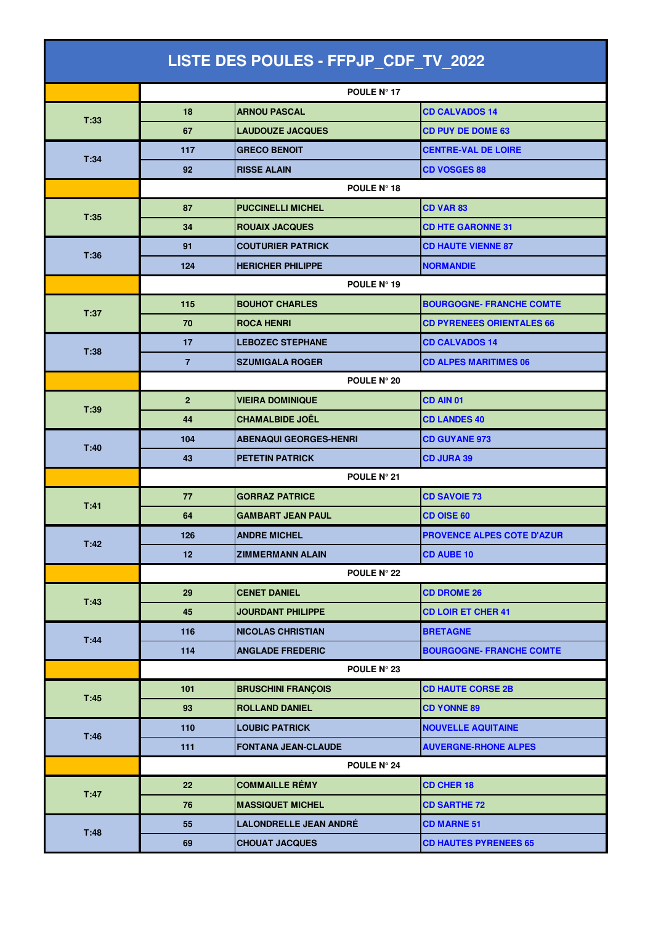| LISTE DES POULES - FFPJP_CDF_TV_2022 |                |                               |                                  |  |  |
|--------------------------------------|----------------|-------------------------------|----------------------------------|--|--|
|                                      |                | POULE N° 17                   |                                  |  |  |
|                                      | 18             | <b>ARNOU PASCAL</b>           | <b>CD CALVADOS 14</b>            |  |  |
| T:33                                 | 67             | <b>LAUDOUZE JACQUES</b>       | <b>CD PUY DE DOME 63</b>         |  |  |
|                                      | 117            | <b>GRECO BENOIT</b>           | <b>CENTRE-VAL DE LOIRE</b>       |  |  |
| T:34                                 | 92             | <b>RISSE ALAIN</b>            | <b>CD VOSGES 88</b>              |  |  |
|                                      | POULE N° 18    |                               |                                  |  |  |
|                                      | 87             | <b>PUCCINELLI MICHEL</b>      | <b>CD VAR 83</b>                 |  |  |
| T:35                                 | 34             | <b>ROUAIX JACQUES</b>         | <b>CD HTE GARONNE 31</b>         |  |  |
|                                      | 91             | <b>COUTURIER PATRICK</b>      | <b>CD HAUTE VIENNE 87</b>        |  |  |
| T:36                                 | 124            | <b>HERICHER PHILIPPE</b>      | <b>NORMANDIE</b>                 |  |  |
|                                      | POULE N° 19    |                               |                                  |  |  |
| T:37                                 | 115            | <b>BOUHOT CHARLES</b>         | <b>BOURGOGNE- FRANCHE COMTE</b>  |  |  |
|                                      | 70             | <b>ROCA HENRI</b>             | <b>CD PYRENEES ORIENTALES 66</b> |  |  |
| T:38                                 | 17             | <b>LEBOZEC STEPHANE</b>       | <b>CD CALVADOS 14</b>            |  |  |
|                                      | $\overline{7}$ | <b>SZUMIGALA ROGER</b>        | <b>CD ALPES MARITIMES 06</b>     |  |  |
|                                      |                | POULE N° 20                   |                                  |  |  |
| T:39                                 | $\overline{2}$ | <b>VIEIRA DOMINIQUE</b>       | CD AIN 01                        |  |  |
|                                      | 44             | <b>CHAMALBIDE JOËL</b>        | <b>CD LANDES 40</b>              |  |  |
| T:40                                 | 104            | <b>ABENAQUI GEORGES-HENRI</b> | <b>CD GUYANE 973</b>             |  |  |
|                                      | 43             | <b>PETETIN PATRICK</b>        | <b>CD JURA 39</b>                |  |  |
|                                      | POULE N° 21    |                               |                                  |  |  |
| T:41                                 | 77             | <b>GORRAZ PATRICE</b>         | <b>CD SAVOIE 73</b>              |  |  |
|                                      | 64             | <b>GAMBART JEAN PAUL</b>      | <b>CD OISE 60</b>                |  |  |
| T:42                                 | 126            | <b>ANDRE MICHEL</b>           | PROVENCE ALPES COTE D'AZUR       |  |  |
|                                      | 12             | <b>ZIMMERMANN ALAIN</b>       | <b>CD AUBE 10</b>                |  |  |
|                                      |                | POULE N° 22                   |                                  |  |  |
| T:43                                 | 29             | <b>CENET DANIEL</b>           | <b>CD DROME 26</b>               |  |  |
|                                      | 45             | <b>JOURDANT PHILIPPE</b>      | <b>CD LOIR ET CHER 41</b>        |  |  |
| T:44                                 | 116            | <b>NICOLAS CHRISTIAN</b>      | <b>BRETAGNE</b>                  |  |  |
|                                      | 114            | <b>ANGLADE FREDERIC</b>       | <b>BOURGOGNE- FRANCHE COMTE</b>  |  |  |
|                                      |                | POULE N° 23                   |                                  |  |  |
| T:45                                 | 101            | <b>BRUSCHINI FRANÇOIS</b>     | <b>CD HAUTE CORSE 2B</b>         |  |  |
|                                      | 93             | <b>ROLLAND DANIEL</b>         | <b>CD YONNE 89</b>               |  |  |
| T:46                                 | 110            | <b>LOUBIC PATRICK</b>         | <b>NOUVELLE AQUITAINE</b>        |  |  |
|                                      | 111            | <b>FONTANA JEAN-CLAUDE</b>    | <b>AUVERGNE-RHONE ALPES</b>      |  |  |
|                                      |                | POULE N° 24                   |                                  |  |  |
| T:47                                 | 22             | <b>COMMAILLE RÉMY</b>         | <b>CD CHER 18</b>                |  |  |
|                                      | 76             | <b>MASSIQUET MICHEL</b>       | <b>CD SARTHE 72</b>              |  |  |
| T:48                                 | 55             | <b>LALONDRELLE JEAN ANDRÉ</b> | <b>CD MARNE 51</b>               |  |  |
|                                      | 69             | <b>CHOUAT JACQUES</b>         | <b>CD HAUTES PYRENEES 65</b>     |  |  |